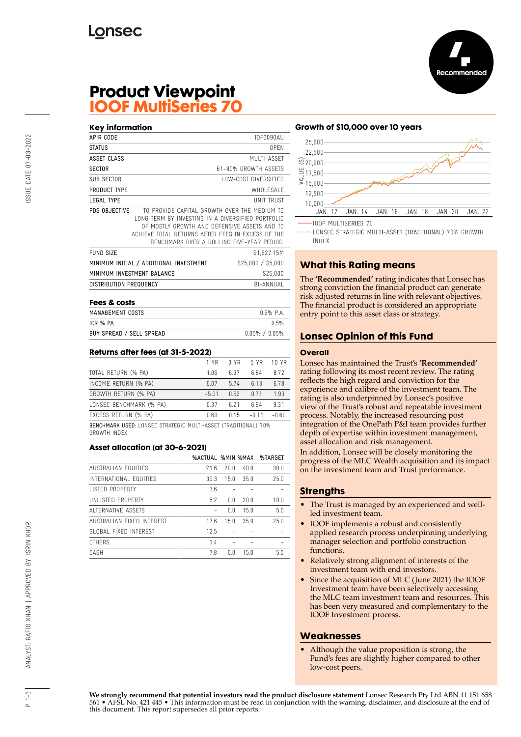

## **Product Viewpoint IOOF MultiSeries 70**

#### **Key information**

| APIR CODE                               | <b>IOF0090AU</b>                                                                                                                                                                                                                                     |
|-----------------------------------------|------------------------------------------------------------------------------------------------------------------------------------------------------------------------------------------------------------------------------------------------------|
| STATUS                                  | 0PFN                                                                                                                                                                                                                                                 |
| ASSET CLASS                             | MUITI-ASSFT                                                                                                                                                                                                                                          |
| SECTOR                                  | 61-80% GROWTH ASSFTS                                                                                                                                                                                                                                 |
| SUB SECTOR                              | LOW-COST DIVERSIFIED                                                                                                                                                                                                                                 |
| PRODUCT TYPE                            | WHOI FSAI F                                                                                                                                                                                                                                          |
| LEGAL TYPE                              | UNIT TRUST                                                                                                                                                                                                                                           |
| PDS OBJECTIVE                           | TO PROVIDE CAPITAL GROWTH OVER THE MEDIUM TO<br>LONG TERM BY INVESTING IN A DIVERSIFIED PORTFOLIO<br>OF MOSTLY GROWTH AND DEFENSIVE ASSETS AND TO<br>ACHIEVE TOTAL RETURNS AFTER FEES IN EXCESS OF THE<br>BENCHMARK OVER A ROLLING FIVE-YEAR PERIOD. |
| <b>FUND SIZE</b>                        | \$1,527.15M                                                                                                                                                                                                                                          |
| MINIMUM INITIAL / ADDITIONAL INVESTMENT | \$25,000 / \$5,000                                                                                                                                                                                                                                   |
| MINIMUM INVESTMENT BALANCE              | \$25,000                                                                                                                                                                                                                                             |
| DISTRIBUTION FREQUENCY                  | BI-ANNUAI                                                                                                                                                                                                                                            |

#### **Fees & costs**

| MANAGEMENT COSTS         | 0.5% PA             |
|--------------------------|---------------------|
| ICR % PA                 | 0.5%                |
| BUY SPREAD / SELL SPREAD | $0.05\%$ / $0.05\%$ |

#### **Returns after fees (at 31-5-2022)**

|                                                                         | 1 YR    | 3 YR | 5 YR    | 10 YR   |
|-------------------------------------------------------------------------|---------|------|---------|---------|
| TOTAL RETURN (% PA)                                                     | 1.06    | 6.37 | 6.84    | 8.72    |
| INCOME RETURN (% PA)                                                    | 6.07    | 574  | 6.13    | 6.78    |
| GROWTH RETURN (% PA)                                                    | $-5.01$ | 0.62 | n 71    | 1.93    |
| LONSEC BENCHMARK (% PA)                                                 | 0.37    | 621  | 6.94    | 931     |
| EXCESS RETURN (% PA)                                                    | 0.69    | 0.15 | $-0.11$ | $-0.60$ |
| <b>RENCHMARK LISED. LONSEC STRATEGIC MILLTI-ASSET (TRADITIONAL) 70%</b> |         |      |         |         |

BENCHMARK USED: LONSEC STRATEGIC MULTI-ASSET (TRADITIONAL) 70% GROWTH INDEX

#### **Asset allocation (at 30-6-2021)**

|                           | <b>%ACTUAL %MIN %MAX</b> |      |      | %TARGET |
|---------------------------|--------------------------|------|------|---------|
| AUSTRALIAN FOUITIES       | 216                      | 20.0 | 40.0 | 30.0    |
| INTERNATIONAL FOUITIES    | 30.3                     | 15.0 | 35.0 | 25.0    |
| <b>LISTED PROPERTY</b>    | 3.6                      |      |      |         |
| UNI ISTED PROPERTY        | 5.2                      | 0.0  | 20.0 | 10.0    |
| AI TERNATIVE ASSETS       |                          | 0.0  | 15.0 | 5.0     |
| AUSTRALIAN FIXED INTEREST | 176                      | 15.0 | 35 N | 25.0    |
| GLOBAL FIXED INTEREST     | 12.5                     |      |      |         |
| <b>OTHERS</b>             | 1.4                      |      |      |         |
| CASH                      | 7.8                      | ΛN   | 150  | 5.0     |

### **Growth of \$10,000 over 10 years**



LONSEC STRATEGIC MULTI-ASSET (TRADITIONAL) 70% GROWTH **INDEX** 

## **What this Rating means**

The **'Recommended'** rating indicates that Lonsec has strong conviction the financial product can generate risk adjusted returns in line with relevant objectives. The financial product is considered an appropriate entry point to this asset class or strategy.

## **Lonsec Opinion of this Fund**

#### **Overall**

Lonsec has maintained the Trust's **'Recommended'** rating following its most recent review. The rating reflects the high regard and conviction for the experience and calibre of the investment team. The rating is also underpinned by Lonsec's positive view of the Trust's robust and repeatable investment process. Notably, the increased resourcing post integration of the OnePath P&I team provides further depth of expertise within investment management, asset allocation and risk management.

In addition, Lonsec will be closely monitoring the progress of the MLC Wealth acquisition and its impact on the investment team and Trust performance.

## **Strengths**

- The Trust is managed by an experienced and wellled investment team.
- IOOF implements a robust and consistently applied research process underpinning underlying manager selection and portfolio construction functions.
- Relatively strong alignment of interests of the investment team with end investors.
- Since the acquisition of MLC (June 2021) the IOOF Investment team have been selectively accessing the MLC team investment team and resources. This has been very measured and complementary to the IOOF Investment process.

## **Weaknesses**

• Although the value proposition is strong, the Fund's fees are slightly higher compared to other low-cost peers.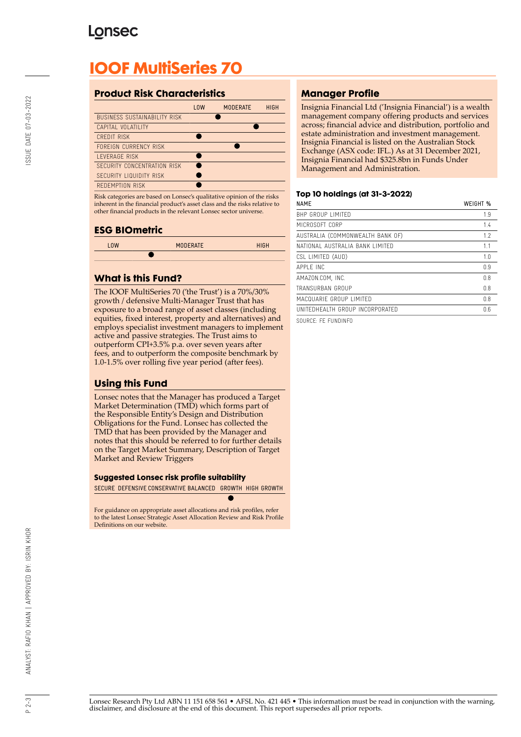# **Lonsec**

# **IOOF MultiSeries 70**

## **Product Risk Characteristics**

|                                     | <b>LOW</b> | <b>MODERATE</b> | <b>HIGH</b> |
|-------------------------------------|------------|-----------------|-------------|
| <b>BUSINESS SUSTAINABILITY RISK</b> |            |                 |             |
| CAPITAL VOLATILITY                  |            |                 |             |
| <b>CREDIT RISK</b>                  |            |                 |             |
| FORFIGN CURRENCY RISK               |            |                 |             |
| <b>I FVFRAGF RISK</b>               |            |                 |             |
| SECURITY CONCENTRATION RISK         |            |                 |             |
| SECURITY LIQUIDITY RISK             |            |                 |             |
| REDEMPTION RISK                     |            |                 |             |

Risk categories are based on Lonsec's qualitative opinion of the risks inherent in the financial product's asset class and the risks relative to other financial products in the relevant Lonsec sector universe.

## **ESG BIOmetric**

| <b>LOW</b> | <b>MODERATE</b> | <b>HIGH</b> |
|------------|-----------------|-------------|
|            |                 |             |

## **What is this Fund?**

The IOOF MultiSeries 70 ('the Trust') is a 70%/30% growth / defensive Multi-Manager Trust that has exposure to a broad range of asset classes (including equities, fixed interest, property and alternatives) and employs specialist investment managers to implement active and passive strategies. The Trust aims to outperform CPI+3.5% p.a. over seven years after fees, and to outperform the composite benchmark by 1.0-1.5% over rolling five year period (after fees).

## **Using this Fund**

Lonsec notes that the Manager has produced a Target Market Determination (TMD) which forms part of the Responsible Entity's Design and Distribution Obligations for the Fund. Lonsec has collected the TMD that has been provided by the Manager and notes that this should be referred to for further details on the Target Market Summary, Description of Target Market and Review Triggers

#### **Suggested Lonsec risk profile suitability**

SECURE DEFENSIVE CONSERVATIVE BALANCED GROWTH HIGH GROWTH

For guidance on appropriate asset allocations and risk profiles, refer to the latest Lonsec Strategic Asset Allocation Review and Risk Profile Definitions on our website.

## **Manager Profile**

Insignia Financial Ltd ('Insignia Financial') is a wealth management company offering products and services across; financial advice and distribution, portfolio and estate administration and investment management. Insignia Financial is listed on the Australian Stock Exchange (ASX code: IFL.) As at 31 December 2021, Insignia Financial had \$325.8bn in Funds Under Management and Administration.

#### **Top 10 holdings (at 31-3-2022)**

| <b>NAME</b>                      | WEIGHT % |
|----------------------------------|----------|
| <b>BHP GROUP LIMITED</b>         | 1.9      |
| MICROSOFT CORP                   | 1.4      |
| AUSTRALIA (COMMONWEALTH BANK OF) | 1.7      |
| NATIONAL AUSTRALIA BANK LIMITED  | 1.1      |
| CSL LIMITED (AUD)                | 1.0      |
| APPI F INC                       | 0.9      |
| AMAZON.COM. INC.                 | 0.8      |
| TRANSURBAN GROUP                 | 0.8      |
| MACQUARIE GROUP LIMITED          | 0.8      |
| UNITEDHEALTH GROUP INCORPORATED  | 0.6      |
|                                  |          |

SOURCE: FE FUNDINFO